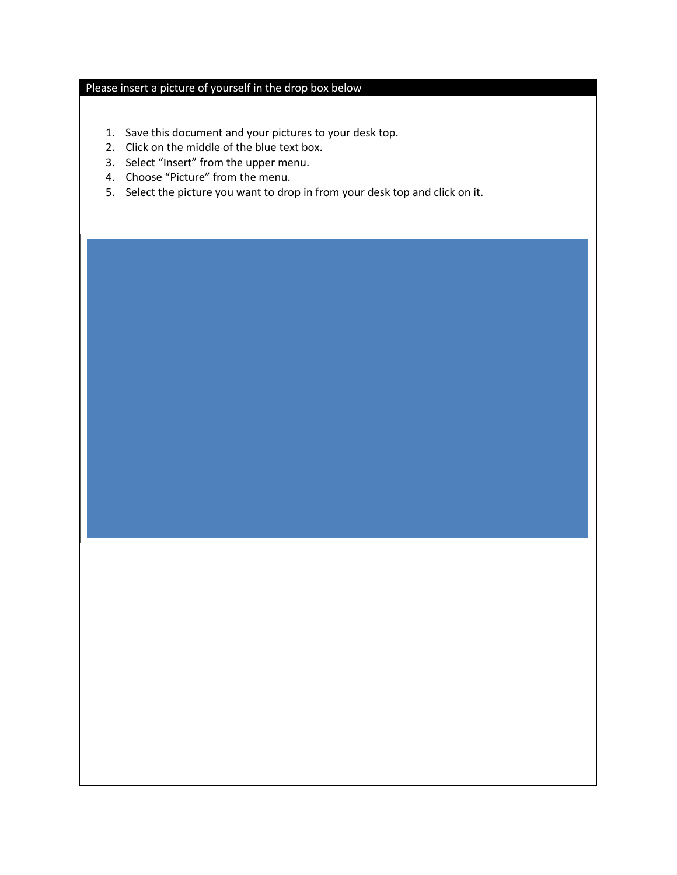## Please insert a picture of yourself in the drop box below

- 1. Save this document and your pictures to your desk top.
- 2. Click on the middle of the blue text box.
- 3. Select "Insert" from the upper menu.
- 4. Choose "Picture" from the menu.
- 5. Select the picture you want to drop in from your desk top and click on it.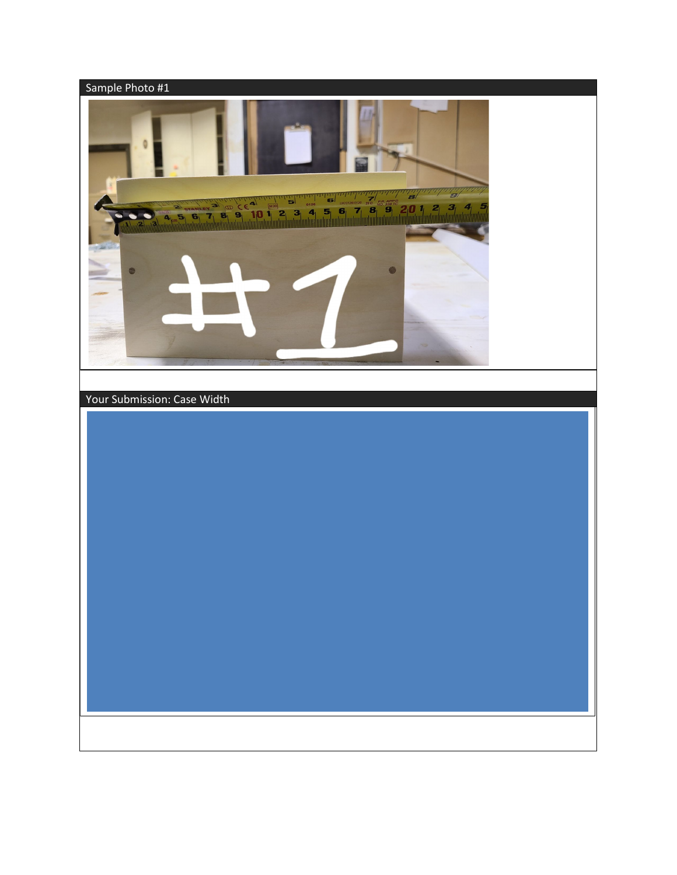

Your Submission: Case Width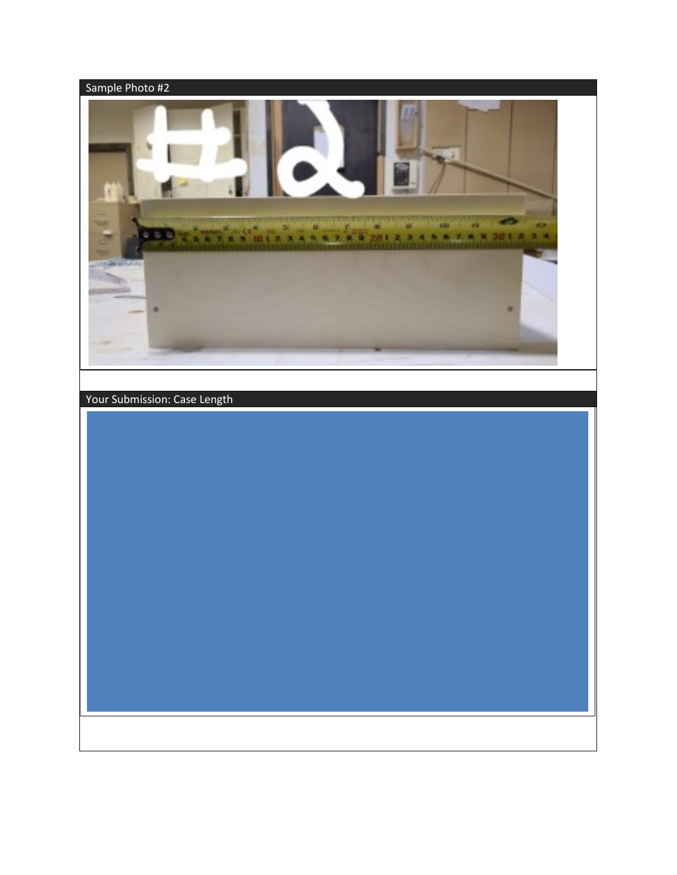

Your Submission: Case Length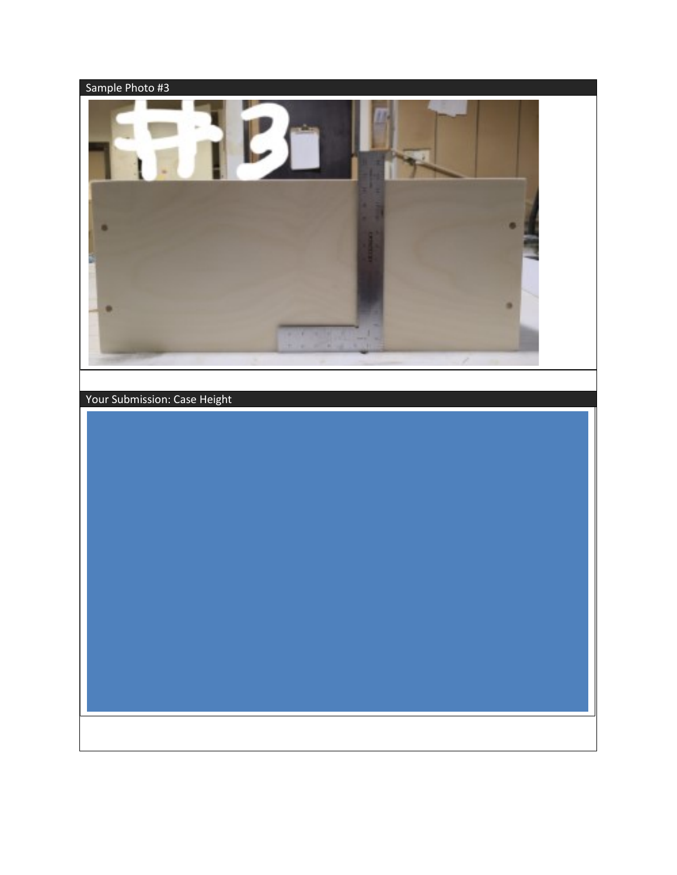

Your Submission: Case Height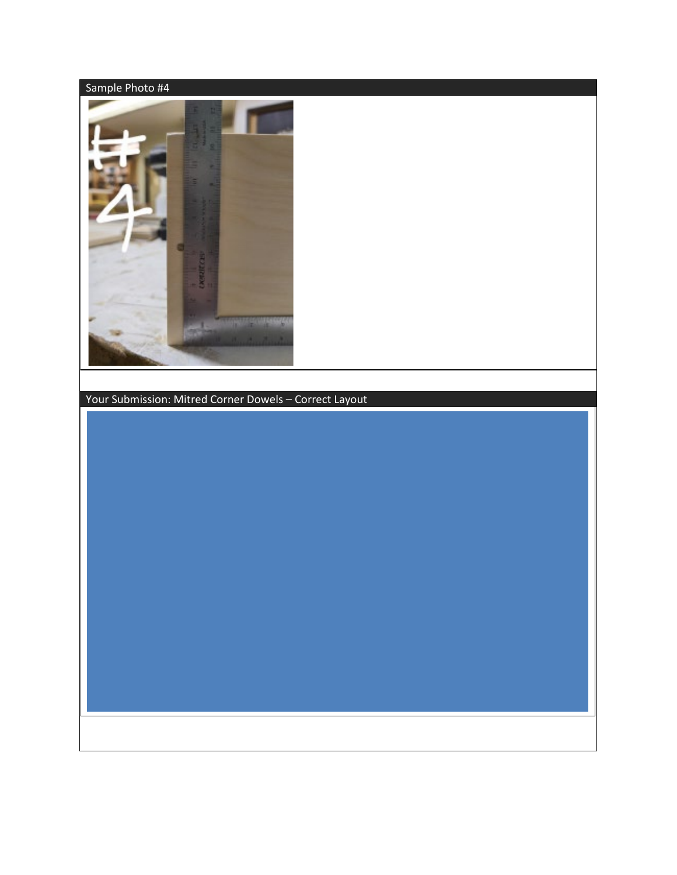

Your Submission: Mitred Corner Dowels – Correct Layout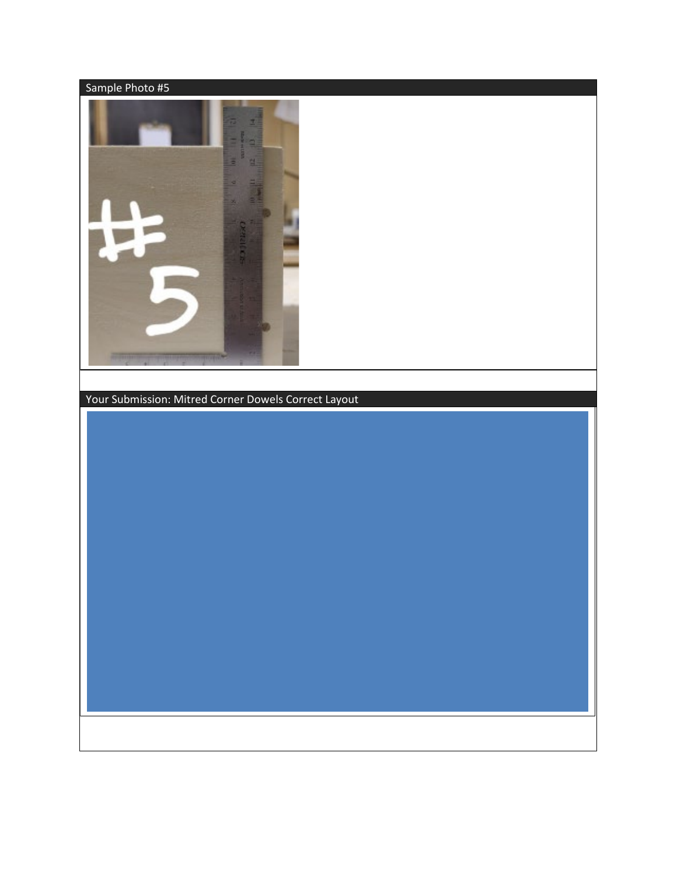

Your Submission: Mitred Corner Dowels Correct Layout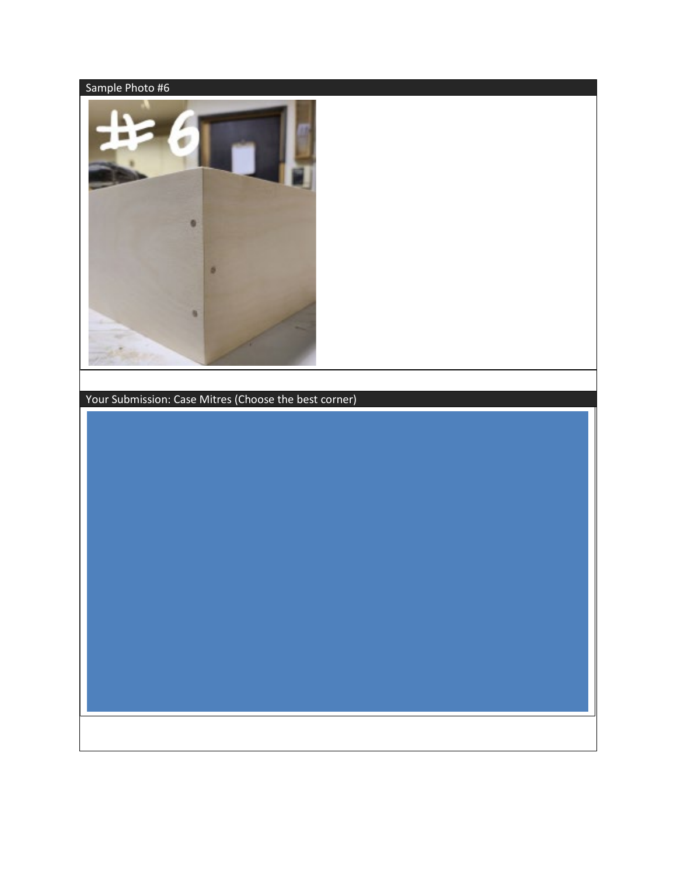

Your Submission: Case Mitres (Choose the best corner)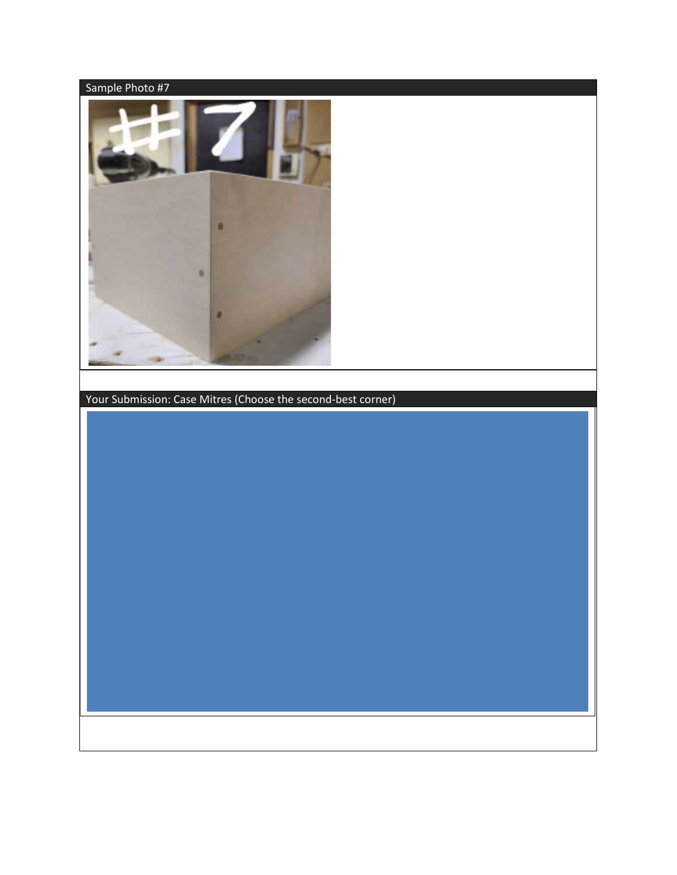

Your Submission: Case Mitres (Choose the second-best corner)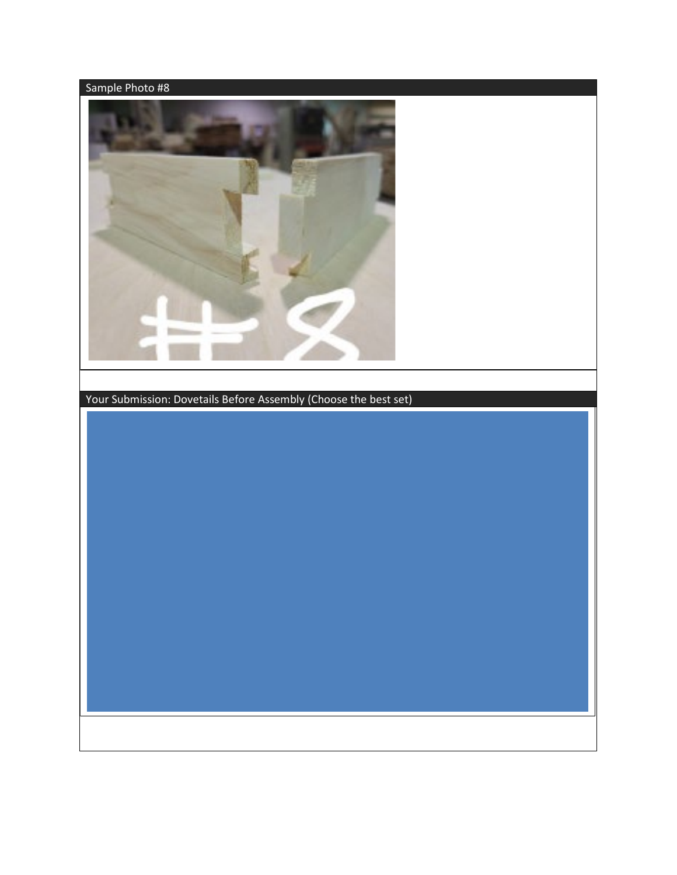

Your Submission: Dovetails Before Assembly (Choose the best set)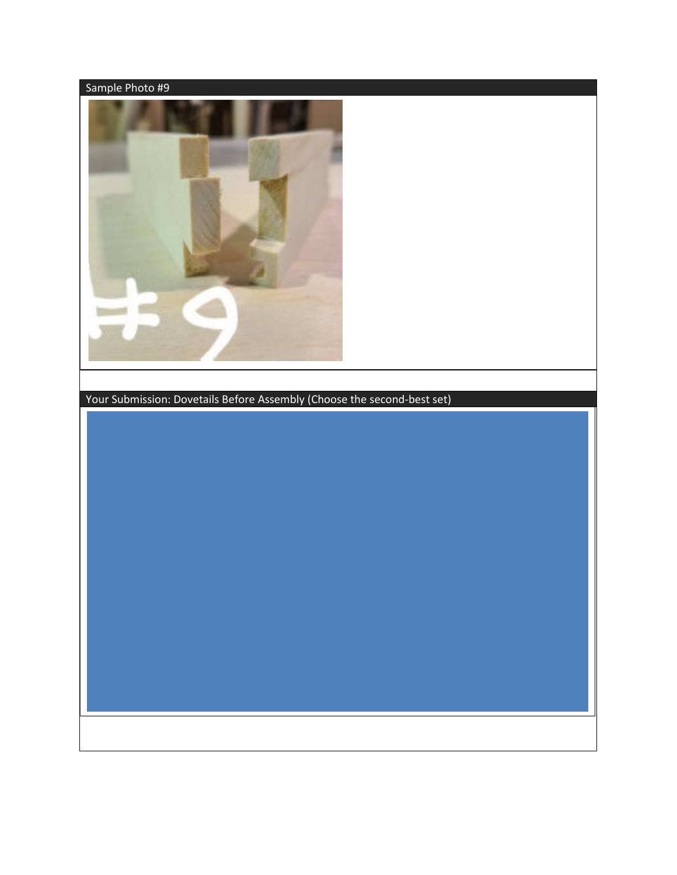

Your Submission: Dovetails Before Assembly (Choose the second-best set)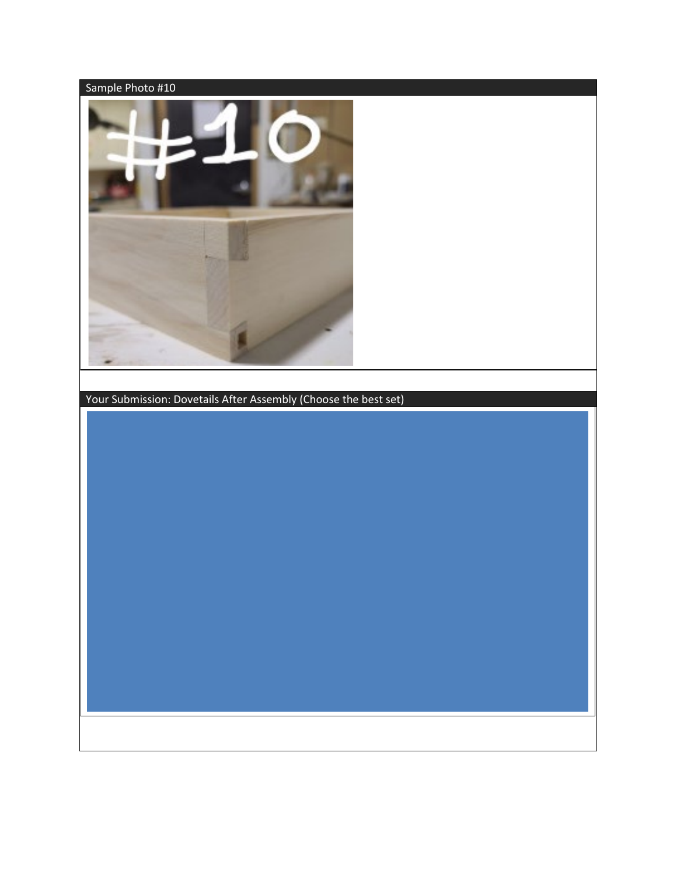

Your Submission: Dovetails After Assembly (Choose the best set)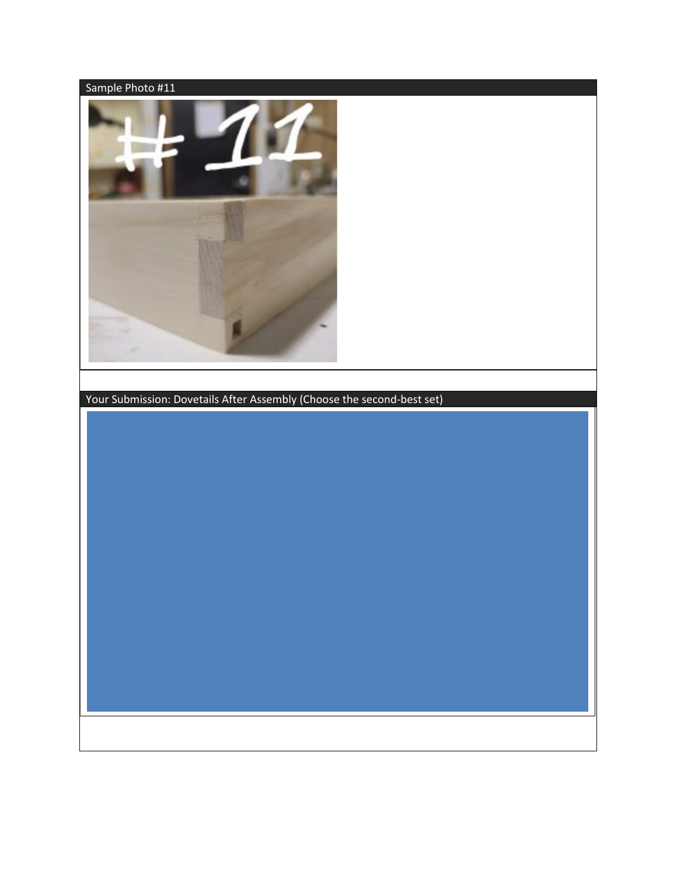

Your Submission: Dovetails After Assembly (Choose the second-best set)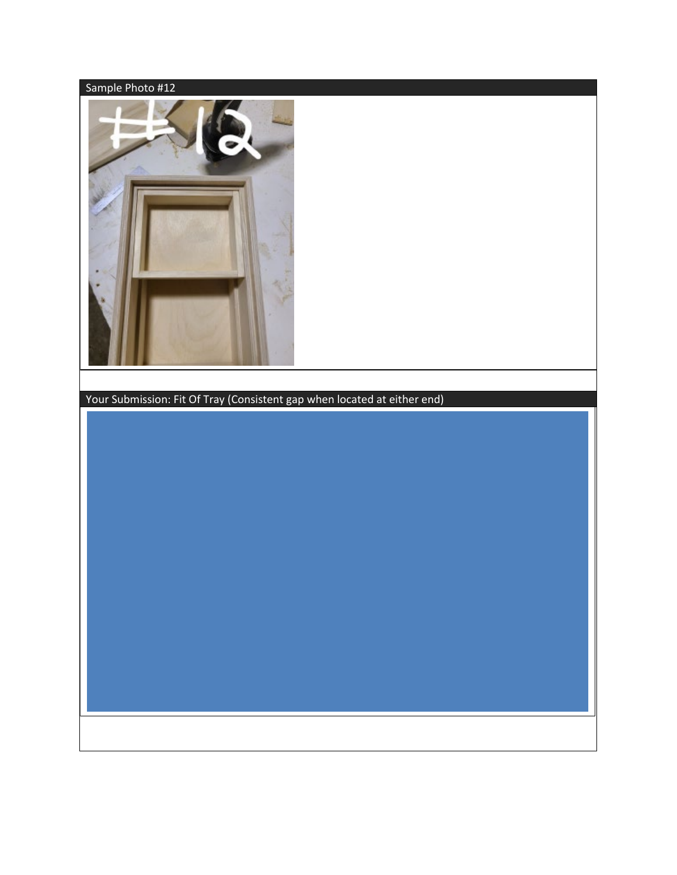

Your Submission: Fit Of Tray (Consistent gap when located at either end)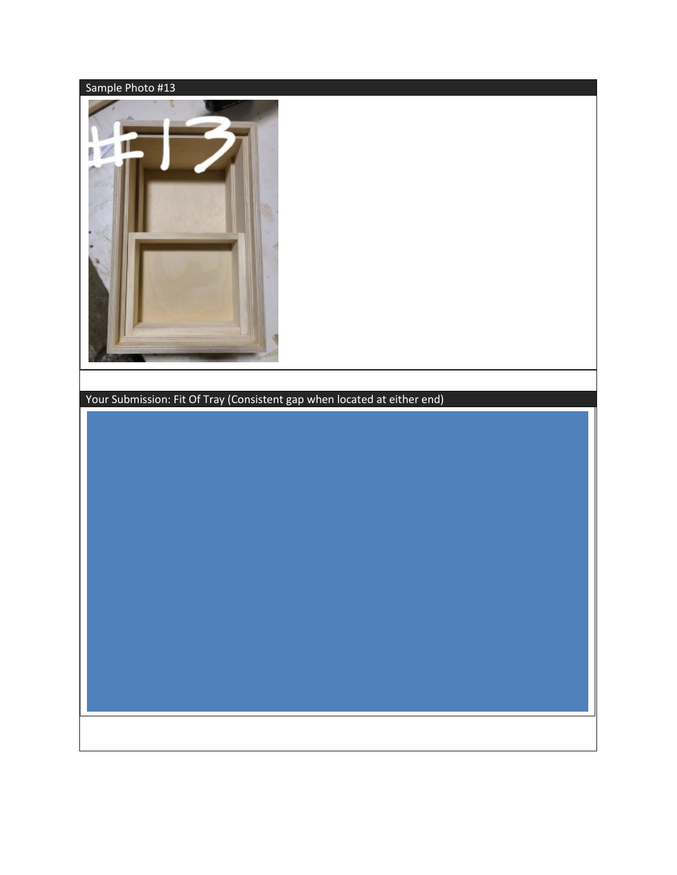

Your Submission: Fit Of Tray (Consistent gap when located at either end)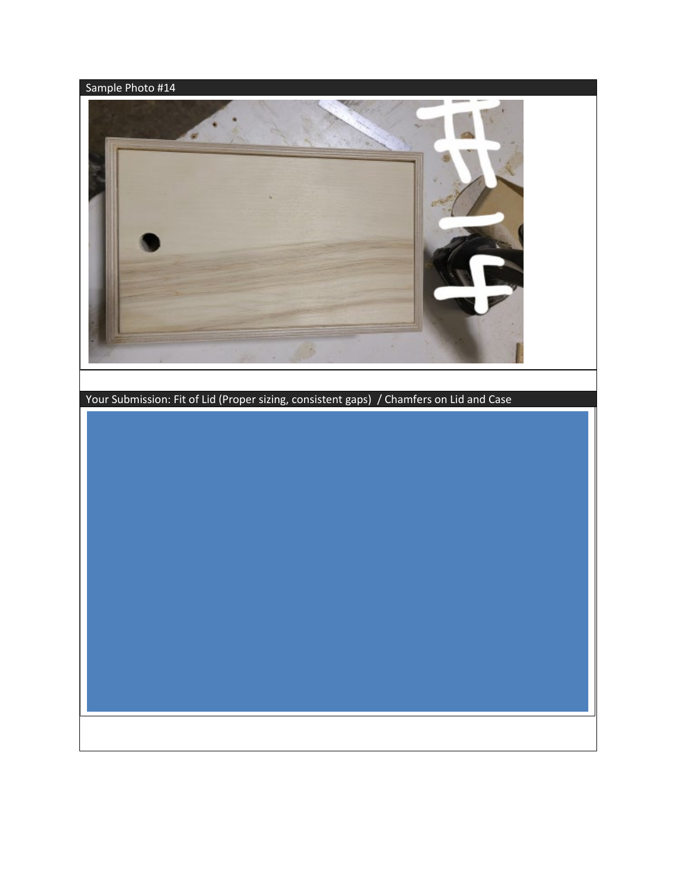